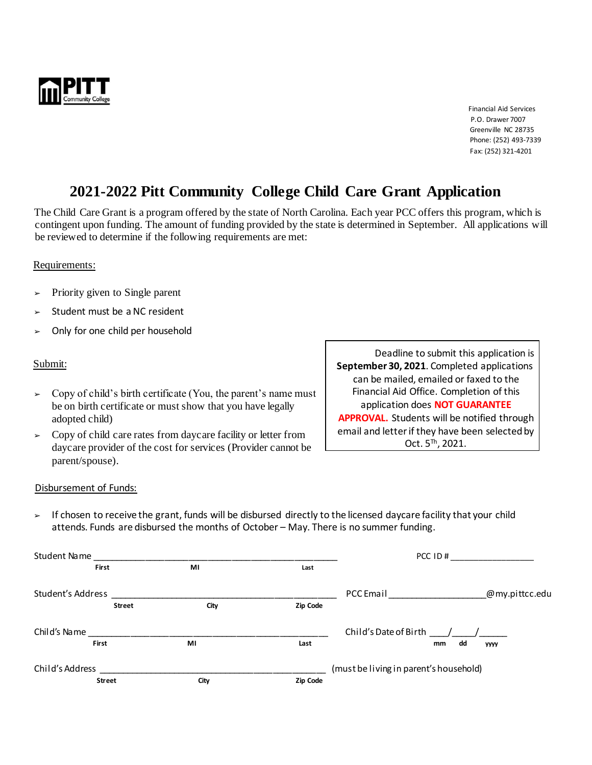

**Financial Aid Services**  P.O. Drawer 7007 Greenville NC 28735 Phone: (252) 493-7339 Fax: (252) 321-4201

# **2021-2022 Pitt Community College Child Care Grant Application**

The Child Care Grant is a program offered by the state of North Carolina. Each year PCC offers this program, which is contingent upon funding. The amount of funding provided by the state is determined in September. All applications will be reviewed to determine if the following requirements are met:

### Requirements:

- $\triangleright$  Priority given to Single parent
- Student must be a NC resident
- ➢ Only for one child per household

#### Submit:

- $\geq$  Copy of child's birth certificate (You, the parent's name must be on birth certificate or must show that you have legally adopted child)
- $\geq$  Copy of child care rates from daycare facility or letter from daycare provider of the cost for services (Provider cannot be parent/spouse).

Deadline to submit this application is **September 30, 2021**. Completed applications can be mailed, emailed or faxed to the Financial Aid Office. Completion of this application does **NOT GUARANTEE APPROVAL.** Students will be notified through email and letter if they have been selected by Oct. 5™, 2021.

#### Disbursement of Funds:

 $\triangleright$  If chosen to receive the grant, funds will be disbursed directly to the licensed daycare facility that your child attends. Funds are disbursed the months of October – May. There is no summer funding.

| Student Name      |               |      | PCC ID#                                |                       |          |                |
|-------------------|---------------|------|----------------------------------------|-----------------------|----------|----------------|
| <b>First</b>      |               | MI   | Last                                   |                       |          |                |
| Student's Address |               |      |                                        | PCC Email             |          | @my.pittcc.edu |
|                   | <b>Street</b> | City | Zip Code                               |                       |          |                |
| Child's Name      |               |      |                                        | Child's Date of Birth |          |                |
| <b>First</b>      |               | MI   | Last                                   |                       | dd<br>mm | <b>YYYY</b>    |
| Child's Address   |               |      | (must be living in parent's household) |                       |          |                |
| <b>Street</b>     |               | City | Zip Code                               |                       |          |                |